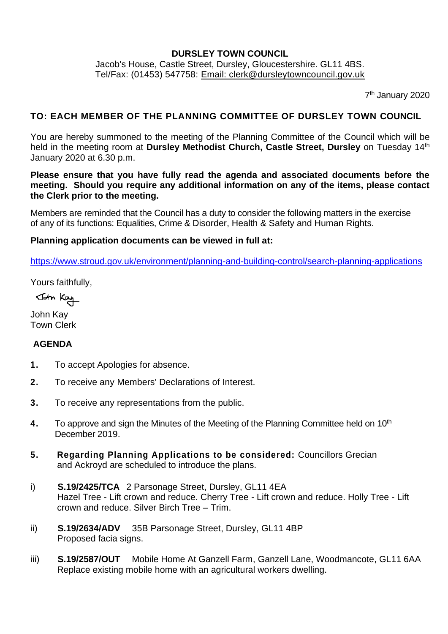#### **DURSLEY TOWN COUNCIL**

Jacob's House, Castle Street, Dursley, Gloucestershire. GL11 4BS. Tel/Fax: (01453) 547758: [Email: clerk@dursleytowncouncil.gov.uk](mailto:clerk@dursleytowncouncil.gov.uk)

7<sup>th</sup> January 2020

### **TO: EACH MEMBER OF THE PLANNING COMMITTEE OF DURSLEY TOWN COUNCIL**

You are hereby summoned to the meeting of the Planning Committee of the Council which will be held in the meeting room at Dursley Methodist Church, Castle Street, Dursley on Tuesday 14<sup>th</sup> January 2020 at 6.30 p.m.

**Please ensure that you have fully read the agenda and associated documents before the meeting. Should you require any additional information on any of the items, please contact the Clerk prior to the meeting.**

Members are reminded that the Council has a duty to consider the following matters in the exercise of any of its functions: Equalities, Crime & Disorder, Health & Safety and Human Rights.

#### **Planning application documents can be viewed in full at:**

<https://www.stroud.gov.uk/environment/planning-and-building-control/search-planning-applications>

Yours faithfully,

John Kay

John Kay Town Clerk

#### **AGENDA**

- **1.** To accept Apologies for absence.
- **2.** To receive any Members' Declarations of Interest.
- **3.** To receive any representations from the public.
- **4.** To approve and sign the Minutes of the Meeting of the Planning Committee held on 10<sup>th</sup> December 2019.
- **5. Regarding Planning Applications to be considered:** Councillors Grecian and Ackroyd are scheduled to introduce the plans.
- i) **S.19/2425/TCA** 2 Parsonage Street, Dursley, GL11 4EA Hazel Tree - Lift crown and reduce. Cherry Tree - Lift crown and reduce. Holly Tree - Lift crown and reduce. Silver Birch Tree – Trim.
- ii) **S.19/2634/ADV** 35B Parsonage Street, Dursley, GL11 4BP Proposed facia signs.
- iii) **S.19/2587/OUT** Mobile Home At Ganzell Farm, Ganzell Lane, Woodmancote, GL11 6AA Replace existing mobile home with an agricultural workers dwelling.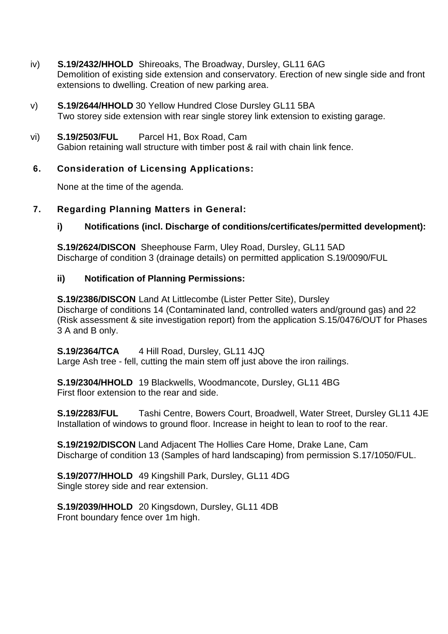- iv) **S.19/2432/HHOLD** Shireoaks, The Broadway, Dursley, GL11 6AG Demolition of existing side extension and conservatory. Erection of new single side and front extensions to dwelling. Creation of new parking area.
- v) **S.19/2644/HHOLD** 30 Yellow Hundred Close Dursley GL11 5BA Two storey side extension with rear single storey link extension to existing garage.
- vi) **S.19/2503/FUL** Parcel H1, Box Road, Cam

Gabion retaining wall structure with timber post & rail with chain link fence.

# **6. Consideration of Licensing Applications:**

None at the time of the agenda.

## **7. Regarding Planning Matters in General:**

## **i) Notifications (incl. Discharge of conditions/certificates/permitted development):**

**S.19/2624/DISCON** Sheephouse Farm, Uley Road, Dursley, GL11 5AD Discharge of condition 3 (drainage details) on permitted application S.19/0090/FUL

## **ii) Notification of Planning Permissions:**

**S.19/2386/DISCON** Land At Littlecombe (Lister Petter Site), Dursley Discharge of conditions 14 (Contaminated land, controlled waters and/ground gas) and 22 (Risk assessment & site investigation report) from the application S.15/0476/OUT for Phases 3 A and B only.

#### **S.19/2364/TCA** 4 Hill Road, Dursley, GL11 4JQ

Large Ash tree - fell, cutting the main stem off just above the iron railings.

**S.19/2304/HHOLD** 19 Blackwells, Woodmancote, Dursley, GL11 4BG First floor extension to the rear and side.

**S.19/2283/FUL** Tashi Centre, Bowers Court, Broadwell, Water Street, Dursley GL11 4JE Installation of windows to ground floor. Increase in height to lean to roof to the rear.

**S.19/2192/DISCON** Land Adjacent The Hollies Care Home, Drake Lane, Cam Discharge of condition 13 (Samples of hard landscaping) from permission S.17/1050/FUL.

**S.19/2077/HHOLD** 49 Kingshill Park, Dursley, GL11 4DG Single storey side and rear extension.

**S.19/2039/HHOLD** 20 Kingsdown, Dursley, GL11 4DB Front boundary fence over 1m high.